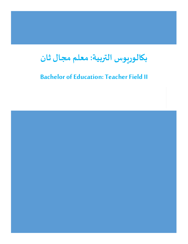# **بكالوريوسالتربية:معلم مجال ثان**

# **Bachelor of Education: Teacher Field II**

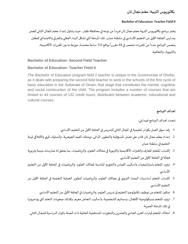# **بكالوريوسالتربية:معلم مجال ثان**

#### **Bachelor of Education: Teacher Field II**

يعتبر برنامج بكالوريوس التربية معلم مجال ثان فريداً من نوعه في محافظة ظفار، حيث يتناول إعداد معلم المجال الثاني للعمل ً<br>أ بمدارس الحلقة الأولى من التعليم الأساسي في سلطنة عمان، تلك المرحلة التي تشكل البناء العقلي والمعرفي والاجتماعي للطفل. يتضمن البرنامج عدداً من المقررات تنحصر في 44 مقررراً بواقع 132 ساعة معتمدة، موزعة ما بين المقررات الأكاديمية، ً<br>أ ً<br>أ والتربوية، والثقافية.

## **Bachelor of Education: Second Field Teacher**

# **Bachelor of Education: Teacher Field II**

The Bachelor of Education program field 2 teacher is unique in the Governorate of Dhofar, as it deals with preparing the second field teacher to work in the schools of the first cycle of basic education in the Sultanate of Oman, that stage that constitutes the mental, cognitive and social construction of the child. The program includes a number of courses that are limited to 44 courses of 132 credit hours, distributed between academic, educational and cultural courses.

# **أهداف البرنامج**

تتحدد أهداف البرنامج فيما يلي:

- 1. رفد سوق العمل بكوادر تعليمية في المجال الثاني للتدريس في الحلقة الأولى من التعليم الأساسي.
- 2. إعداد معلم مجال ثان قادر على تحمل المسؤولية والتطوير الذاتي، ويمتلك القيم الجوهرية، والسلوك المني والأخلاقي لمهنة التعليم في سلطنة عمان.
- 3. إكساب المتعلم المعارف والخبرات الأكاديمية والتربوبة في مجالات العلوم، والرباضيات، بما يحقق له ممارسات مهنية وتربوبة فعالة في الحلقة الأولى من التعليم الأساسي.
- 4. تزويد المتعلم باستراتيجيات وأساليب القياس والتقويم المناسبة لمجالات العلوم، والرياضيات في الحلقة الأولى من التعليم الأساسي.
- 5. إكساب المتعلم أساسيات البحث التربوي في مجالات العلوم، والرياضيات لتطوير العملية التعليمة في الحلقة الأولى من التعليم الأساسي.
	- 6. تمكين المتعلم من توظيف تكنولوجيا التعليم في تدريس العلوم، والرياضيات في الحلقة الأولى من التعليم الأساسي.
- 7. تزويد المتعلم بسيكولوجية الأطفال، وسماتهم الشخصية، وأساليب التعامل معهم، وكذلك صعوبات التعلم التي يواجهونها في تلك املرحلة العمرية.
- 8. امتلاك المتعلم لمهارات القرن الحادي والعشرين والتطورات المستقبلية العالمية ذات الصلة بالمواد الدراسية للمجال الثاني.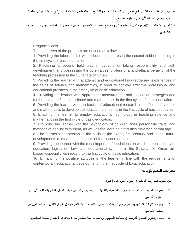9. تزويد المتعلم بأهم الأسس التي تقوم عليها فلسفة التعليم والتشريعات والقوانين والأنظمة التربوية في سلطنة عمان، خاصة فيما يتعلق بالحلقة الأولى من التعليم الأساسي.

10.تعزبز الاتجاهات الإيجابية لدى المتعلم بما يتوافق مع متطلبات التطوير التربوي المعاصر في الحلقة الأولى من التعليم الأساسي.

Program Goals

The objectives of the program are defined as follows:

1. Providing the labor market with educational cadres in the second field of teaching in the first cycle of basic education.

2. Preparing a second field teacher capable of taking responsibility and selfdevelopment, and possessing the core values, professional and ethical behavior of the teaching profession in the Sultanate of Oman.

3. Providing the learner with academic and educational knowledge and experiences in the fields of science and mathematics, in order to achieve effective professional and educational practices in the first cycle of basic education.

4. Providing the learner with appropriate measurement and evaluation strategies and methods for the fields of science and mathematics in the first cycle of basic education.

5. Providing the learner with the basics of educational research in the fields of science and mathematics to develop the educational process in the first cycle of basic education.

6. Enabling the learner to employ educational technology in teaching science and mathematics in the first cycle of basic education.

7. Providing the learner with the psychology of children, their personality traits, and methods of dealing with them, as well as the learning difficulties they face at that age.

8. The learner's possession of the skills of the twenty-first century and global future developments related to the subjects of the second domain.

9. Providing the learner with the most important foundations on which the philosophy of education, legislation, laws and educational systems in the Sultanate of Oman are based, especially with regard to the first cycle of basic education.

10. Enhancing the positive attitudes of the learner in line with the requirements of contemporary educational development in the first cycle of basic education.

# **مخرجات التعلم للبرنامج**

#### من المتوقع بعد نهاية البرنامج أن يكون الخريج قادراً على: ً<br>أ

- .1 توظيف املعلومات واملعارف والخبرات الخاصة باملقررات الدراسية في تدريس مواد املجال الثاني بالحلقة األولى من التعليم الأساسي.
- 2. توظيف نظريات التعلم، وطرائق واستراتيجيات التدريس المناسبة للمواد الدراسية في المجال الثاني بالحلقة الأولى من التعليم الأساسي.
	- 3. تحليل وتطوير المناهج المدرسية في مجالات العلوم والرياضيات، بما يتماشى مع الاتجاهات المحلية والعالمية المعاصرة.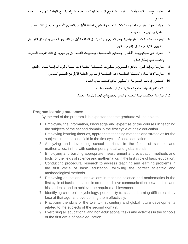- 4. توظيف وبناء أساليب وأدوات القياس والتقويم المناسبة لمجالات العلوم والرباضيات في الحلقة الأولى من التعليم الأساسي.
- 5. إجراء البحوث الإجرائية لمعالجة مشكلات التعليم والتعلم في الحلقة الأولى من التعليم الأساسي، متبعاً في ذلك الأساليب ֧֧֧֦֧֧֦֧֧֦֧֦֧֝֟֓֓֝֬֟֓֓֝֓֓֜֓<br>֧֧֧֝֬֘֩֩֕֓֘֝֬֝ العلمية واملنهجية الصحيحة.
- 6. توظيف المستحدثات التعليمية في تدريس العلوم والرياضيات في الحلقة الأولى من التعليم الأساسي بما يحقق التواصل بينه وبين طالبه، وتحقيق اإلنجاز املطلوب.
- .7 التعرف على سيكولوجية األطفال، وسماتهم الشخصية، وصعوبات التعلم التي يواجهونها في تلك املرحلة العمرية، والتغلب عليها بشكل فعال.
	- 8. ممارسة مهارات القرن الحادي والعشرين والتطورات المستقبلية العالمية ذات الصلة بالمواد الدراسية للمجال الثاني.
		- 9. ممارسة كافة المهام والأنشطة التعليمية وغير التعليمية في مدارس الحلقة الأولى من التعليم الأساسي.
			- 10. الاستمرار في تحمل المسؤولية، والتطوير الذاتي كمتعلم مدى الحياة.
				- .11 املشاركة في تنمية املجتمع العماني لتحقيق املواطنة الفاعلة.
			- 12. ممارسة أخلاقيات مهنة التعليم، والقيم الجوهرية في الحياة المهنية والعامة.

# **Program learning outcomes:**

By the end of the program it is expected that the graduate will be able to:

- 1. Employing the information, knowledge and expertise of the courses in teaching the subjects of the second domain in the first cycle of basic education.
- 2. Employing learning theories, appropriate teaching methods and strategies for the subjects in the second field in the first cycle of basic education.
- 3. Analyzing and developing school curricula in the fields of science and mathematics, in line with contemporary local and global trends.
- 4. Employing and building appropriate measurement and evaluation methods and tools for the fields of science and mathematics in the first cycle of basic education.
- 5. Conducting procedural research to address teaching and learning problems in the first cycle of basic education, following the correct scientific and methodological methods.
- 6. Employing educational innovations in teaching science and mathematics in the first cycle of basic education in order to achieve communication between him and his students, and to achieve the required achievement.
- 7. Identifying children's psychology, personality traits, and learning difficulties they face at that age, and overcoming them effectively.
- 8. Practicing the skills of the twenty-first century and global future developments related to the subjects of the second domain.
- 9. Exercising all educational and non-educational tasks and activities in the schools of the first cycle of basic education.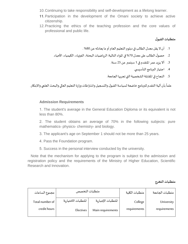- 10.Continuing to take responsibility and self-development as a lifelong learner.
- 11. Participation in the development of the Omani society to achieve active citizenship.
- 12.Practicing the ethics of the teaching profession and the core values of professional and public life.

# **متطلباتالقبول**

- .1 أن ال يقل معدل الطالب في دبلوم التعليم العام أو ما يعادله عن %80 .
- 2. حصول الطالب على معدل 70% في المواد التالية: الرباضيات البحتة، الفيزياء، الكيمياء، الأحياء.
	- .3 أال يزيد عمر املتقدم في 1 سبتمبر عن 25 سنة.
		- 4. اجتياز البرنامج التأسيسي.
	- .5 النجاح في املقابلة الشخصية التي تجريها الجامعة.

علماً بأن آلية التقدم للبرنامج خاضعة لسياسة القبول والتسجيل واشتراطات وزارة التعليم العالي والبحث العلمي والابتكار. ֧֧֖֧֦֧֦֧֧֦֧֧֦֧֦֧֝֟֓֓֓֝֓֓֓֜֓<br>֧֧֝֜֜֜֜֬֘֩֩֕֓֝

## **Admission Requirements**

1. The student's average in the General Education Diploma or its equivalent is not less than 80%.

2. The student obtains an average of 70% in the following subjects: pure mathematics، physics، chemistry، and biology.

- 3. The applicant's age on September 1 should not be more than 25 years.
- 4. Pass the Foundation program.
- 5. Success in the personal interview conducted by the university.

 Note that the mechanism for applying to the program is subject to the admission and registration policy and the requirements of the Ministry of Higher Education, Scientific Research and Innovation.

## **متطلبات التخرج**

| مجموع الساعات   | متطلبات التخصص       |                     | متطلبات الكلية | متطلبات الجامعة |
|-----------------|----------------------|---------------------|----------------|-----------------|
| Total number of | المتطلبات الاختيارية | المتطلبات الإجبارية | College        | University      |
| credit hours    | Electives            | Main requirements   | requirements   | requirements    |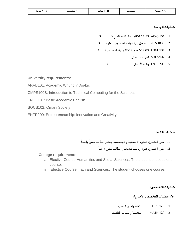| ᆚᇰᄼ | $\sim$<br>ساعه | ∵ ساعات | 108 ساعة | -b ساعات | ساعه |
|-----|----------------|---------|----------|----------|------|
|-----|----------------|---------|----------|----------|------|

#### **متطلبات الجامعة:**

- .1 101 ARAB : الكتابة األكاديمية باللغة العربية 3
- .2 B100 CMPS : مدخل إلى تقنيات الحاسوب للعلوم 3
- .3 101 ENGL: اللغة االنجليزية األكاديمية التأسيسية 3
	- .4 102 SOCS: املجتمع العماني 3
	- .5 200 ENTR: ريادةاألعمال 3

#### **University requirements:**

ARAB101: Academic Writing in Arabic

CMPS100B: Introduction to Technical Computing for the Sciences

ENGL101: Basic Academic English

SOCS102: Omani Society

ENTR200: Entrepreneurship: Innovation and Creativity

#### **متطلبات الكلية:**

- 1. مقرر اختياري العلوم الإنسانية والاجتماعية: يختار الطالب مقرراً واحداً ً<br>آ ً<br>أ
	- 2. مقرر اختياري علوم-رباضيات: يختار الطالب مقرراً واحداً ً<br>أ ً<br>أ

#### **College requirements:**

- o Elective Course Humanities and Social Sciences: The student chooses one course.
- o Elective Course math and Sciences: The student chooses one course.

#### **متطلبات التخصص:**

#### أولا: متطلبات التخصص الاجبارية:

- .1 120 EDUC التعلم وتطورالطفل
- .2 120 MATH الهندسةوحساب املثلثات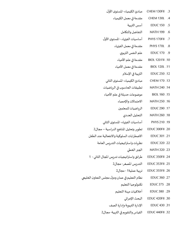- .3 FII130 CHEM مبادئ الكيمياء- املستوى األول
	- .4 L130 CHEM مقدمةفيمعمل الكيمياء
		- .5 150 EDUC أسسالتربية
		- .6 199 MATH التفاضل والتكامل
- .7 FII170 PHYS أساسيات الفيزياء- املستوى األول
	- 8. PHYS 170L مقدمة في معمل الفيزياء
		- .9 170 EDUC علم النفسالتربوي
	- .10 FII 120 BIOL مقدمةفي علم األحياء
	- 11. BIOL 120L مقدمة في معمل الأحياء
		- .12 250 EDUC التربيةفياإلسالم
	- .13 170 CHEM مبادئ الكيمياء- املستوى الثاني
- 14. MATH 240 سطبيقات الحاسوب في الرباضيات
- .15 160 BIOL موضوعاتحديثةفي علم األحياء
	- .16 250 MATH االحتماالتواإلحصاء
	- 17. EDUC 290 الرياضيات للمعلمين
		- .18 260 MATH التحليل العددي
- .19 210 PHYS أساسيات الفيزياء- املستوى الثاني
- .20 FII300 EDUC تطوير وتحليل املناهجالدراسية مجال2
- .21 301 EDUC االضطرابات السلوكيةواالنفعالية عند الطفل
	- 22. EDUC 320 نظريات واستراتيجيات التدريس العامة
		- .23 320 MATH الجبرالخطي
- 24. EDUC 350FII طرائق واستراتيجيات تدريس المجال الثاني 1
	- 25. EDUC 353FII التدريس المصغر- مجال2
		- .26 FII355 EDUC تربية عملية1 -مجال2
- 27. EDUC 360 نظام التعليم في عمان ودول مجلس التعاون الخليجي
	- .28 375 EDUC تكنولوجيا التعليم
	- .29 380 EDUC أخالقياتمهنةالتعليم
		- البحثاإلجرائي EDUC 420FII .30
	- 31. EDUC 430 الإدارة التربوية وإدارة الصف
	- 32. EDUC 440FII القياس والتقويم في التربية- مجال2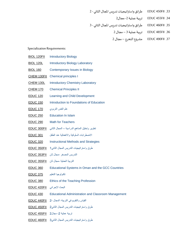- 33. EDUC 450FII طرائق واستراتيجيات تدريس المجال الثاني 2
	- .34 FII455 EDUC تربية عملية -2مجال2
- 35. EDUC 460FII طرائق واستراتيجيات تدريس المجال الثاني 3
	- .36 FII485 EDUC تربية عملية 3 مجال 2
	- .37 FII490 EDUC مشروع التخرج مجال 2

Specialization Requirements:

| <u>BIOL 120FII</u>                  | <b>Introductory Biology</b>                                |
|-------------------------------------|------------------------------------------------------------|
| <b>BIOL 120L</b>                    | <b>Introductory Biology Laboratory</b>                     |
| <b>BIOL 160</b>                     | <b>Contemporary Issues in Biology</b>                      |
| <u>CHEM 130FII</u>                  | <b>Chemical principles I</b>                               |
| <b>CHEM 130L</b>                    | <b>Introductory Chemistry Laboratory</b>                   |
| <u>CHEM 170</u>                     | <b>Chemical Principles II</b>                              |
| <u>EDUC 120</u>                     | Learning and Child Development                             |
| <u>EDUC 150</u>                     | Introduction to Foundations of Education                   |
| علم النفس التربوي <u>EDUC 170</u>   |                                                            |
| <u>EDUC 250</u>                     | <b>Education In Islam</b>                                  |
| <u>EDUC 290</u>                     | <b>Math for Teachers</b>                                   |
|                                     | تطوير وتحليل المناهج الدراسية – المجال الثاني EDUC 300FII  |
| <b>EDUC 301</b>                     | الاضطرابات السلوكية والانفعالية عند الطفل                  |
| <u>EDUC 320</u>                     | <b>Instructional Methods and Strategies</b>                |
|                                     | طرق واستراتيجيات التدريس المجال الثاني1 EDUC 350FII        |
|                                     | التدريس المصغر -مجال ثان EDUC 353FII                       |
|                                     | التربية العملية -مجال ثان EDUC 355FII                      |
| <u>EDUC 360</u>                     | Educational Systems in Oman and the GCC Countries          |
| تكنولوجيا التعليم          EDUC 375 |                                                            |
|                                     | <b>EDUC 380</b> Ethics of the Teaching Profession          |
| البحث الإجرائي EDUC 420FII          |                                                            |
| <b>EDUC 430</b>                     | <b>Educational Administration and Classroom Management</b> |
|                                     | القياس والتقويم في التربية- المجال -2 __ EDUC 440FII       |
|                                     | طرق واستراتيجيات التدريس المجال الثاني2 EDUC 450FII        |
|                                     | تربية عملية 2- مجال2   EDUC 455FII                         |
|                                     | طرق واستراتيجيات التدريس المجال الثاني3 EDUC 460FII        |
|                                     |                                                            |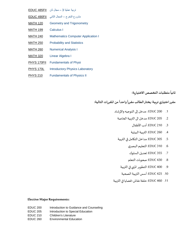- تربية عملية 3 مجال ثان [FII485 EDUC](http://weblogos.du.edu.om/portal/pls/portal/SIW_CRS_DESC?Usr_Id_P=30049&Ssn_Id_P=232492553878141217683333048597961615&Lng_Id_P=1&Sem_P=20212&Crs_Code_P=3629)
- مشروع التخرج المجال الثاني FDUC 490FII
- [MATH 120](http://weblogos.du.edu.om/portal/pls/portal/SIW_CRS_DESC?Usr_Id_P=30049&Ssn_Id_P=232492553878141217683333048597961615&Lng_Id_P=1&Sem_P=20212&Crs_Code_P=2322) Geometry and Trigonometry
- [MATH 199](http://weblogos.du.edu.om/portal/pls/portal/SIW_CRS_DESC?Usr_Id_P=30049&Ssn_Id_P=232492553878141217683333048597961615&Lng_Id_P=1&Sem_P=20212&Crs_Code_P=2354) Calculus I
- [MATH 240](http://weblogos.du.edu.om/portal/pls/portal/SIW_CRS_DESC?Usr_Id_P=30049&Ssn_Id_P=232492553878141217683333048597961615&Lng_Id_P=1&Sem_P=20212&Crs_Code_P=2169) Mathematics Computer Application I
- [MATH 250](http://weblogos.du.edu.om/portal/pls/portal/SIW_CRS_DESC?Usr_Id_P=30049&Ssn_Id_P=232492553878141217683333048597961615&Lng_Id_P=1&Sem_P=20212&Crs_Code_P=1902) Probability and Statistics
- [MATH 260](http://weblogos.du.edu.om/portal/pls/portal/SIW_CRS_DESC?Usr_Id_P=30049&Ssn_Id_P=232492553878141217683333048597961615&Lng_Id_P=1&Sem_P=20212&Crs_Code_P=1911) Numerical Analysis I
- [MATH 320](http://weblogos.du.edu.om/portal/pls/portal/SIW_CRS_DESC?Usr_Id_P=30049&Ssn_Id_P=232492553878141217683333048597961615&Lng_Id_P=1&Sem_P=20212&Crs_Code_P=1903) Linear Algebra I
- [PHYS 170FII](http://weblogos.du.edu.om/portal/pls/portal/SIW_CRS_DESC?Usr_Id_P=30049&Ssn_Id_P=232492553878141217683333048597961615&Lng_Id_P=1&Sem_P=20212&Crs_Code_P=3706) Fundamentals of Physi
- [PHYS 170L](http://weblogos.du.edu.om/portal/pls/portal/SIW_CRS_DESC?Usr_Id_P=30049&Ssn_Id_P=232492553878141217683333048597961615&Lng_Id_P=1&Sem_P=20212&Crs_Code_P=1943) Introductory Physics Laboratory
- [PHYS 210](http://weblogos.du.edu.om/portal/pls/portal/SIW_CRS_DESC?Usr_Id_P=30049&Ssn_Id_P=232492553878141217683333048597961615&Lng_Id_P=1&Sem_P=20212&Crs_Code_P=1944) Fundamentals of Physics II

 ثانياً متطلبات التخصص الا*خ*تيارية:

مقرر اختياري تربية: يختار الطالب مقرراً واحداً من المقررات التالية: 

- 1. EDUC 200 : مدخل إلى التوجيه والإرشاد
	- .2 [205 EDUC](http://weblogos.du.edu.om/portal/pls/portal/SIW_CRS_DESC?Usr_Id_P=25861&Ssn_Id_P=524509475181225231160180080494291158&Lng_Id_P=2&Crs_Code_P=1860): مدخل الى التربية الخاصة
		- .3 [210 EDUC](http://weblogos.du.edu.om/portal/pls/portal/SIW_CRS_DESC?Usr_Id_P=25861&Ssn_Id_P=524509475181225231160180080494291158&Lng_Id_P=2&Crs_Code_P=1868): أدب األطفال
		- .4 [260 EDUC](http://weblogos.du.edu.om/portal/pls/portal/SIW_CRS_DESC?Usr_Id_P=25861&Ssn_Id_P=524509475181225231160180080494291158&Lng_Id_P=2&Crs_Code_P=2215): التربية البيئية
	- .5 [305 EDUC](http://weblogos.du.edu.om/portal/pls/portal/SIW_CRS_DESC?Usr_Id_P=25861&Ssn_Id_P=524509475181225231160180080494291158&Lng_Id_P=2&Crs_Code_P=1873): مداخل التكامل في التربية
		- .6 [310 EDUC](http://weblogos.du.edu.om/portal/pls/portal/SIW_CRS_DESC?Usr_Id_P=25861&Ssn_Id_P=524509475181225231160180080494291158&Lng_Id_P=2&Crs_Code_P=1874): التعليم البصري
		- .7 [355 EDUC](http://weblogos.du.edu.om/portal/pls/portal/SIW_CRS_DESC?Usr_Id_P=25861&Ssn_Id_P=524509475181225231160180080494291158&Lng_Id_P=2&Crs_Code_P=2216): تعديل السلوك
		- .8 [430 EDUC](http://weblogos.du.edu.om/portal/pls/portal/SIW_CRS_DESC?Usr_Id_P=25861&Ssn_Id_P=524509475181225231160180080494291158&Lng_Id_P=2&Crs_Code_P=2217): صعوبات التعلم
		- .9 [400 EDUC](http://weblogos.du.edu.om/portal/pls/portal/SIW_CRS_DESC?Usr_Id_P=25861&Ssn_Id_P=524509475181225231160180080494291158&Lng_Id_P=2&Crs_Code_P=1881): التطوير املنهي في التربية
		- .10 [425 EDUC](http://weblogos.du.edu.om/portal/pls/portal/SIW_CRS_DESC?Usr_Id_P=25861&Ssn_Id_P=524509475181225231160180080494291158&Lng_Id_P=2&Crs_Code_P=1882): أسس التربية الصحية
- .11 [460 EDUC](http://weblogos.du.edu.om/portal/pls/portal/SIW_CRS_DESC?Usr_Id_P=25861&Ssn_Id_P=524509475181225231160180080494291158&Lng_Id_P=2&Crs_Code_P=1884): حلقة نقاش: قضايا في التربية

#### **Elective Major Requirements:**

- EDUC 200 Introduction to Guidance and Counseling
- EDUC 205 Introduction to Special Education
- EDUC 210 Children's Literature
- EDUC 260 Environmental Education